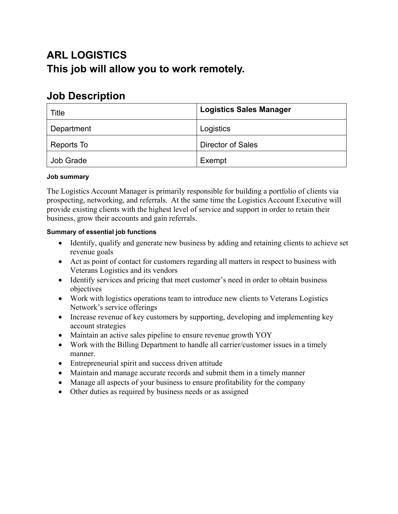# **ARL LOGISTICS This job will allow you to work remotely.**

# **Job Description**

| Title            | <b>Logistics Sales Manager</b> |
|------------------|--------------------------------|
| Department       | Logistics                      |
| Reports To       | <b>Director of Sales</b>       |
| <b>Job Grade</b> | Exempt                         |

## **Job summary**

The Logistics Account Manager is primarily responsible for building a portfolio of clients via prospecting, networking, and referrals. At the same time the Logistics Account Executive will provide existing clients with the highest level of service and support in order to retain their business, grow their accounts and gain referrals.

## **Summary of essential job functions**

- Identify, qualify and generate new business by adding and retaining clients to achieve set revenue goals
- Act as point of contact for customers regarding all matters in respect to business with Veterans Logistics and its vendors
- Identify services and pricing that meet customer's need in order to obtain business objectives
- Work with logistics operations team to introduce new clients to Veterans Logistics Network's service offerings
- Increase revenue of key customers by supporting, developing and implementing key account strategies
- Maintain an active sales pipeline to ensure revenue growth YOY
- Work with the Billing Department to handle all carrier/customer issues in a timely manner.
- Entrepreneurial spirit and success driven attitude
- Maintain and manage accurate records and submit them in a timely manner
- Manage all aspects of your business to ensure profitability for the company
- Other duties as required by business needs or as assigned